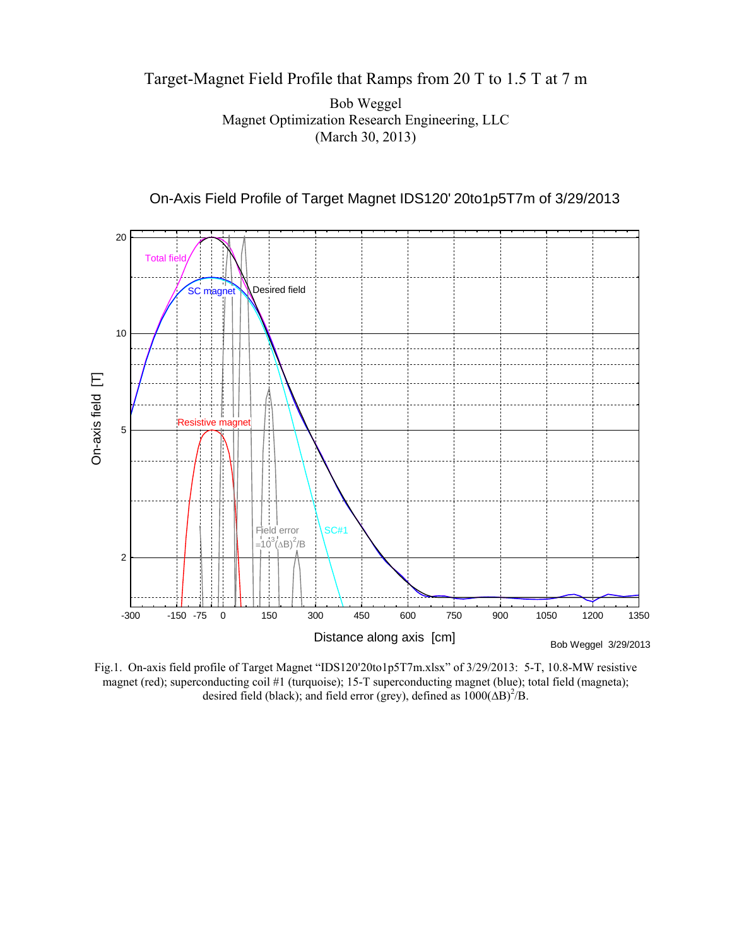## Target-Magnet Field Profile that Ramps from 20 T to 1.5 T at 7 m

Bob Weggel Magnet Optimization Research Engineering, LLC (March 30, 2013)



On-Axis Field Profile of Target Magnet IDS120' 20to1p5T7m of 3/29/2013

Fig.1. On-axis field profile of Target Magnet "IDS120'20to1p5T7m.xlsx" of 3/29/2013: 5-T, 10.8-MW resistive magnet (red); superconducting coil #1 (turquoise); 15-T superconducting magnet (blue); total field (magneta); desired field (black); and field error (grey), defined as  $1000(\Delta B)^2/B$ .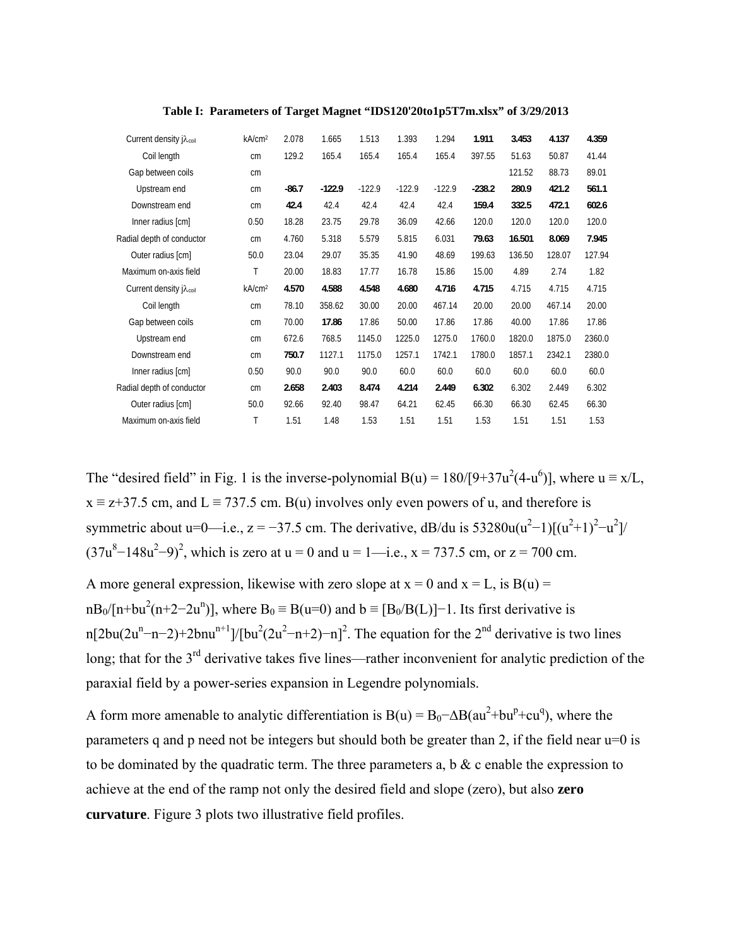| Current density j $\lambda_{\text{coil}}$ | kA/cm <sup>2</sup> | 2.078   | 1.665    | 1.513    | 1.393    | 1.294    | 1.911    | 3.453  | 4.137  | 4.359  |
|-------------------------------------------|--------------------|---------|----------|----------|----------|----------|----------|--------|--------|--------|
| Coil length                               | cm                 | 129.2   | 165.4    | 165.4    | 165.4    | 165.4    | 397.55   | 51.63  | 50.87  | 41.44  |
| Gap between coils                         | cm                 |         |          |          |          |          |          | 121.52 | 88.73  | 89.01  |
| Upstream end                              | cm                 | $-86.7$ | $-122.9$ | $-122.9$ | $-122.9$ | $-122.9$ | $-238.2$ | 280.9  | 421.2  | 561.1  |
| Downstream end                            | cm                 | 42.4    | 42.4     | 42.4     | 42.4     | 42.4     | 159.4    | 332.5  | 472.1  | 602.6  |
| Inner radius [cm]                         | 0.50               | 18.28   | 23.75    | 29.78    | 36.09    | 42.66    | 120.0    | 120.0  | 120.0  | 120.0  |
| Radial depth of conductor                 | cm                 | 4.760   | 5.318    | 5.579    | 5.815    | 6.031    | 79.63    | 16.501 | 8.069  | 7.945  |
| Outer radius [cm]                         | 50.0               | 23.04   | 29.07    | 35.35    | 41.90    | 48.69    | 199.63   | 136.50 | 128.07 | 127.94 |
| Maximum on-axis field                     | Τ                  | 20.00   | 18.83    | 17.77    | 16.78    | 15.86    | 15.00    | 4.89   | 2.74   | 1.82   |
| Current density j $\lambda_{\text{coil}}$ | kA/cm <sup>2</sup> | 4.570   | 4.588    | 4.548    | 4.680    | 4.716    | 4.715    | 4.715  | 4.715  | 4.715  |
| Coil length                               | cm                 | 78.10   | 358.62   | 30.00    | 20.00    | 467.14   | 20.00    | 20.00  | 467.14 | 20.00  |
| Gap between coils                         | cm                 | 70.00   | 17.86    | 17.86    | 50.00    | 17.86    | 17.86    | 40.00  | 17.86  | 17.86  |
| Upstream end                              | cm                 | 672.6   | 768.5    | 1145.0   | 1225.0   | 1275.0   | 1760.0   | 1820.0 | 1875.0 | 2360.0 |
| Downstream end                            | cm                 | 750.7   | 1127.1   | 1175.0   | 1257.1   | 1742.1   | 1780.0   | 1857.1 | 2342.1 | 2380.0 |
| Inner radius [cm]                         | 0.50               | 90.0    | 90.0     | 90.0     | 60.0     | 60.0     | 60.0     | 60.0   | 60.0   | 60.0   |
| Radial depth of conductor                 | cm                 | 2.658   | 2.403    | 8.474    | 4.214    | 2.449    | 6.302    | 6.302  | 2.449  | 6.302  |
| Outer radius [cm]                         | 50.0               | 92.66   | 92.40    | 98.47    | 64.21    | 62.45    | 66.30    | 66.30  | 62.45  | 66.30  |
| Maximum on-axis field                     | Τ                  | 1.51    | 1.48     | 1.53     | 1.51     | 1.51     | 1.53     | 1.51   | 1.51   | 1.53   |
|                                           |                    |         |          |          |          |          |          |        |        |        |

**Table I: Parameters of Target Magnet "IDS120'20to1p5T7m.xlsx" of 3/29/2013** 

The "desired field" in Fig. 1 is the inverse-polynomial B(u) =  $180/[9+37u^2(4-u^6)]$ , where  $u \equiv x/L$ ,  $x \equiv z + 37.5$  cm, and  $L \equiv 737.5$  cm. B(u) involves only even powers of u, and therefore is symmetric about u=0—i.e.,  $z = -37.5$  cm. The derivative, dB/du is  $53280u(u^2-1)[(u^2+1)^2-u^2]$ /  $(37u^8 - 148u^2 - 9)^2$ , which is zero at u = 0 and u = 1—i.e., x = 737.5 cm, or z = 700 cm.

A more general expression, likewise with zero slope at  $x = 0$  and  $x = L$ , is  $B(u) =$  $nB_0/[n+bu^2(n+2-2u^n)]$ , where  $B_0 \equiv B(u=0)$  and  $b \equiv [B_0/B(L)]-1$ . Its first derivative is n[2bu(2u<sup>n</sup>-n-2)+2bnu<sup>n+1</sup>]/[bu<sup>2</sup>(2u<sup>2</sup>-n+2)-n]<sup>2</sup>. The equation for the 2<sup>nd</sup> derivative is two lines long; that for the 3<sup>rd</sup> derivative takes five lines—rather inconvenient for analytic prediction of the paraxial field by a power-series expansion in Legendre polynomials.

A form more amenable to analytic differentiation is  $B(u) = B_0 - \Delta B(au^2 + bu^p + cu^q)$ , where the parameters q and p need not be integers but should both be greater than 2, if the field near u=0 is to be dominated by the quadratic term. The three parameters a, b  $\&$  c enable the expression to achieve at the end of the ramp not only the desired field and slope (zero), but also **zero curvature**. Figure 3 plots two illustrative field profiles.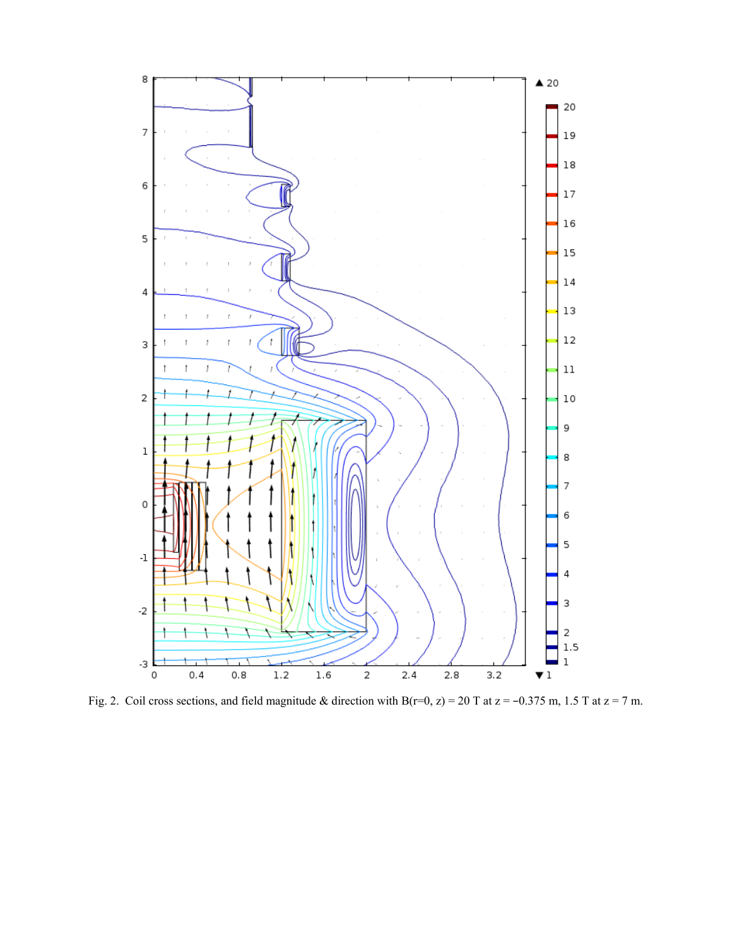

Fig. 2. Coil cross sections, and field magnitude & direction with B(r=0, z) = 20 T at z = -0.375 m, 1.5 T at z = 7 m.